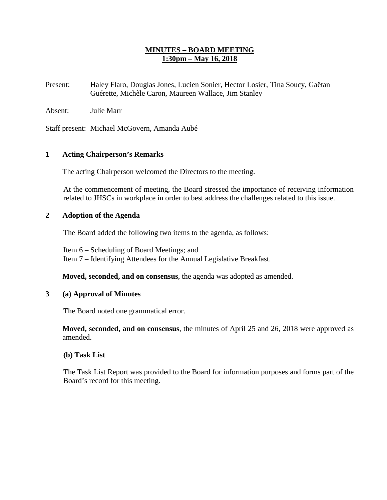### **MINUTES – BOARD MEETING 1:30pm – May 16, 2018**

Present: Haley Flaro, Douglas Jones, Lucien Sonier, Hector Losier, Tina Soucy, Gaëtan Guérette, Michèle Caron, Maureen Wallace, Jim Stanley

Absent: Julie Marr

Staff present: Michael McGovern, Amanda Aubé

### **1 Acting Chairperson's Remarks**

The acting Chairperson welcomed the Directors to the meeting.

At the commencement of meeting, the Board stressed the importance of receiving information related to JHSCs in workplace in order to best address the challenges related to this issue.

### **2 Adoption of the Agenda**

The Board added the following two items to the agenda, as follows:

Item 6 – Scheduling of Board Meetings; and Item 7 – Identifying Attendees for the Annual Legislative Breakfast.

**Moved, seconded, and on consensus**, the agenda was adopted as amended.

#### **3 (a) Approval of Minutes**

The Board noted one grammatical error.

**Moved, seconded, and on consensus**, the minutes of April 25 and 26, 2018 were approved as amended.

#### **(b) Task List**

The Task List Report was provided to the Board for information purposes and forms part of the Board's record for this meeting.